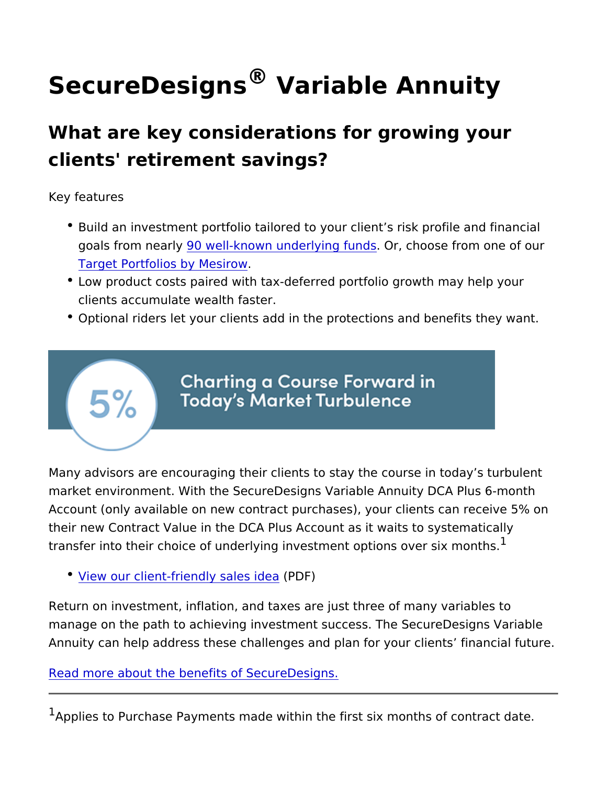## $S$ ecureDesign $\mathbb S$  avariable Annuity

What are key considerations for growing yo clients' retirement savings?

Key features

- **Build an investment portfolio tailored to your client s risk pro** goals from ne a Drivell-known underly in Op rf, undeose from one of or [Target Portfolios by](https://www.veritas-solutions.net/SecurityBenefit/api/materials/download.aspx?stocknumber=227678118) Mesirow .
- Low product costs paired with tax-deferred portfolio growth ma clients accumulate wealth faster.
- $\bullet$  Optional riders let your clients add in the protections and ben

Many advisors are encouraging their clients to stay the course in market environment. With the SecureDesigns Variable Annuity DC Account (only available on new contract purchases), your clients their new Contract Value in the DCA Plus Account as it waits to s transfer into their choice of underlying investment options over s

• <u>[View our client-friendly](https://www.veritas-solutions.net/SecurityBenefit/api/materials/download.aspx?stocknumber=387678103)</u>  $\frac{1}{2}RDE$ )idea

Return on investment, inflation, and taxes are just three of many manage on the path to achieving investment success. The Securel Annuity can help address these challenges and plan for your clier

[Read more about the benefits of S](https://www.sbcorpstg.securitybenefit.com/financial-professionals/details/how-can-securedesigns-help-your-clients-save-retirement)ecureDesigns.

 $1$ Applies to Purchase Payments made within the first six months o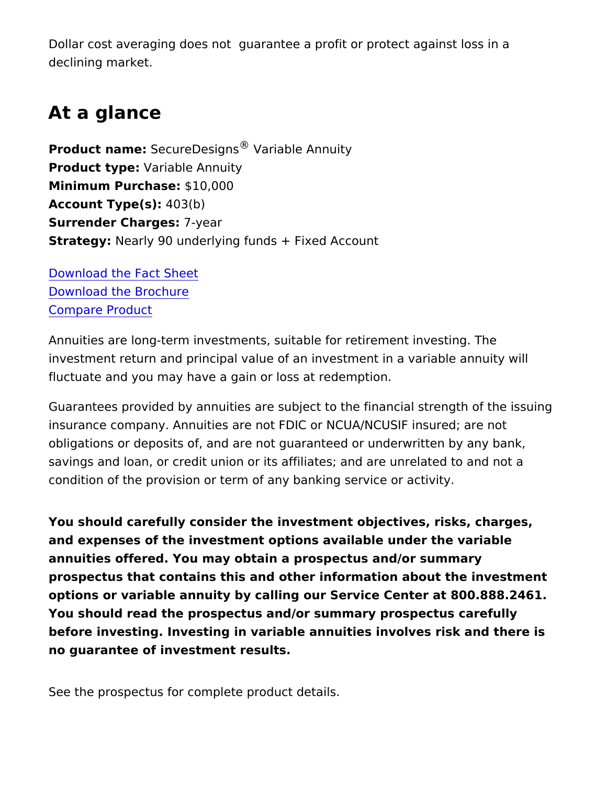Dollar cost averaging does not guarantee a profit or protect against loss in a declining market.

## At a glance

Product nam&ecureDes<sup>®</sup>g Wsariable Annuity Product type : ariable Annuity  $Minimum$  Purchas $6$ e1:0,000  $Account Type(4)$  $3(b)$ Surrender Chargesyear StrategyNearly 90 underlying funds + Fixed Account

[Download the Fac](https://www.veritas-solutions.net/SecurityBenefit/api/materials/download.aspx?stocknumber=227948108)t Sheet [Download the Br](https://www.veritas-solutions.net/SecurityBenefit/api/materials/download.aspx?stocknumber=227678100)ochure Compare Product

Annuities are long-term investments, suitable for retirement invest investment return and principal value of an investment in a varial fluctuate and you may have a gain or loss at redemption.

Guarantees provided by annuities are subject to the financial stre insurance company. Annuities are not FDIC or NCUA/NCUSIF insur obligations or deposits of, and are not guaranteed or underwritter savings and loan, or credit union or its affiliates; and are unrelat condition of the provision or term of any banking service or activ

You should carefully consider the investment objectives, risks, ch and expenses of the investment options available under the varia annuities offered. You may obtain a prospectus and/or summary prospectus that contains this and other information about the inve options or variable annuity by calling our Service Center at 800.8 You should read the prospectus and/or summary prospectus caref before investing. Investing in variable annuities involves risk and no guarantee of investment results.

See the prospectus for complete product details.